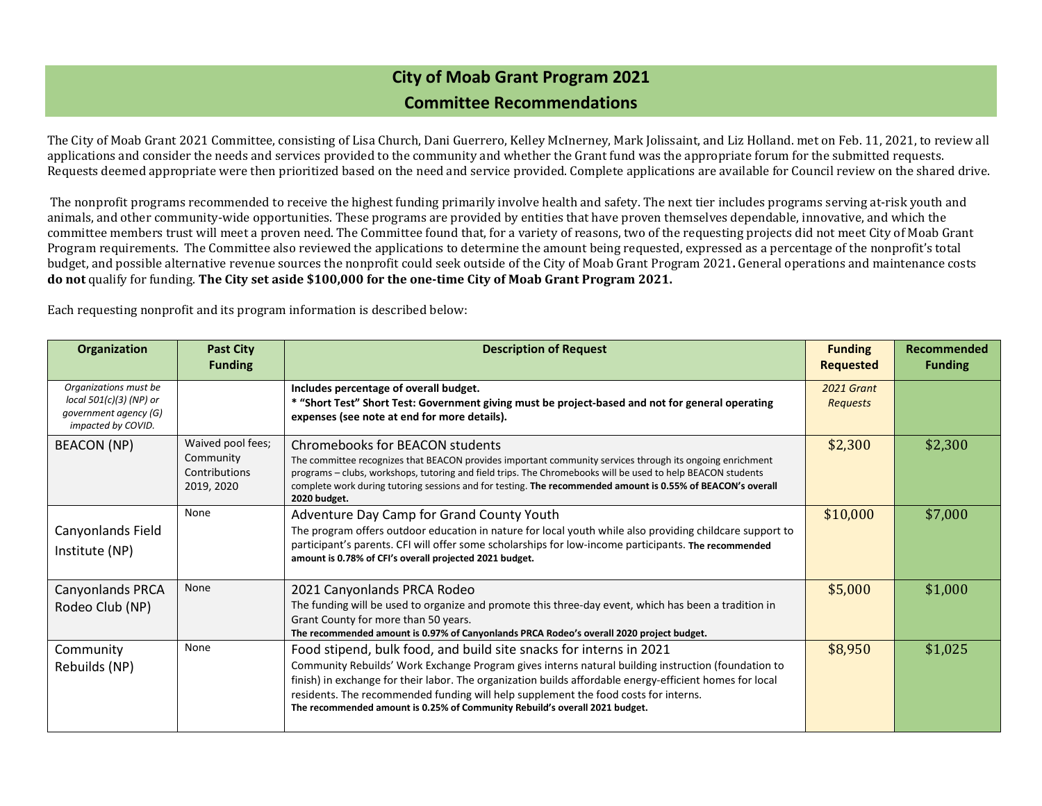## **City of Moab Grant Program 2021 Committee Recommendations**

The City of Moab Grant 2021 Committee, consisting of Lisa Church, Dani Guerrero, Kelley McInerney, Mark Jolissaint, and Liz Holland. met on Feb. 11, 2021, to review all applications and consider the needs and services provided to the community and whether the Grant fund was the appropriate forum for the submitted requests. Requests deemed appropriate were then prioritized based on the need and service provided. Complete applications are available for Council review on the shared drive.

The nonprofit programs recommended to receive the highest funding primarily involve health and safety. The next tier includes programs serving at-risk youth and animals, and other community-wide opportunities. These programs are provided by entities that have proven themselves dependable, innovative, and which the committee members trust will meet a proven need. The Committee found that, for a variety of reasons, two of the requesting projects did not meet City of Moab Grant Program requirements. The Committee also reviewed the applications to determine the amount being requested, expressed as a percentage of the nonprofit's total budget, and possible alternative revenue sources the nonprofit could seek outside of the City of Moab Grant Program 2021**.** General operations and maintenance costs **do not** qualify for funding. **The City set aside \$100,000 for the one-time City of Moab Grant Program 2021.**

Each requesting nonprofit and its program information is described below:

| Organization                                                                                    | <b>Past City</b><br><b>Funding</b>                            | <b>Description of Request</b>                                                                                                                                                                                                                                                                                                                                                                                                                               | <b>Funding</b><br><b>Requested</b>   | Recommended<br><b>Funding</b> |
|-------------------------------------------------------------------------------------------------|---------------------------------------------------------------|-------------------------------------------------------------------------------------------------------------------------------------------------------------------------------------------------------------------------------------------------------------------------------------------------------------------------------------------------------------------------------------------------------------------------------------------------------------|--------------------------------------|-------------------------------|
| Organizations must be<br>local 501(c)(3) (NP) or<br>qovernment agency (G)<br>impacted by COVID. |                                                               | Includes percentage of overall budget.<br>* "Short Test" Short Test: Government giving must be project-based and not for general operating<br>expenses (see note at end for more details).                                                                                                                                                                                                                                                                  | <b>2021 Grant</b><br><b>Requests</b> |                               |
| <b>BEACON</b> (NP)                                                                              | Waived pool fees;<br>Community<br>Contributions<br>2019, 2020 | Chromebooks for BEACON students<br>The committee recognizes that BEACON provides important community services through its ongoing enrichment<br>programs - clubs, workshops, tutoring and field trips. The Chromebooks will be used to help BEACON students<br>complete work during tutoring sessions and for testing. The recommended amount is 0.55% of BEACON's overall<br>2020 budget.                                                                  | \$2,300                              | \$2,300                       |
| Canyonlands Field<br>Institute (NP)                                                             | None                                                          | Adventure Day Camp for Grand County Youth<br>The program offers outdoor education in nature for local youth while also providing childcare support to<br>participant's parents. CFI will offer some scholarships for low-income participants. The recommended<br>amount is 0.78% of CFI's overall projected 2021 budget.                                                                                                                                    | \$10,000                             | \$7,000                       |
| <b>Canyonlands PRCA</b><br>Rodeo Club (NP)                                                      | None                                                          | 2021 Canyonlands PRCA Rodeo<br>The funding will be used to organize and promote this three-day event, which has been a tradition in<br>Grant County for more than 50 years.<br>The recommended amount is 0.97% of Canyonlands PRCA Rodeo's overall 2020 project budget.                                                                                                                                                                                     | \$5,000                              | \$1,000                       |
| Community<br>Rebuilds (NP)                                                                      | None                                                          | Food stipend, bulk food, and build site snacks for interns in 2021<br>Community Rebuilds' Work Exchange Program gives interns natural building instruction (foundation to<br>finish) in exchange for their labor. The organization builds affordable energy-efficient homes for local<br>residents. The recommended funding will help supplement the food costs for interns.<br>The recommended amount is 0.25% of Community Rebuild's overall 2021 budget. | \$8,950                              | \$1,025                       |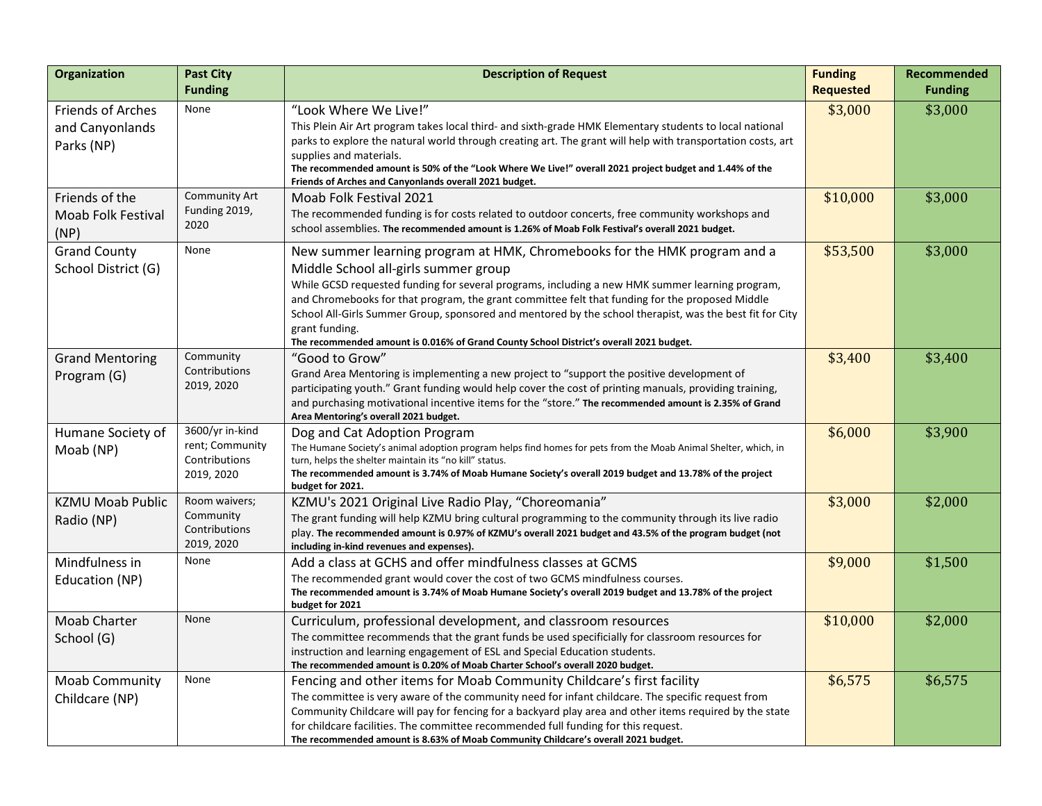| Organization                                        | <b>Past City</b><br><b>Funding</b>                                | <b>Description of Request</b>                                                                                                                                                                                                                                                                                                                                                                                                                                                                                                                    | <b>Funding</b><br><b>Requested</b> | Recommended<br><b>Funding</b> |
|-----------------------------------------------------|-------------------------------------------------------------------|--------------------------------------------------------------------------------------------------------------------------------------------------------------------------------------------------------------------------------------------------------------------------------------------------------------------------------------------------------------------------------------------------------------------------------------------------------------------------------------------------------------------------------------------------|------------------------------------|-------------------------------|
| Friends of Arches<br>and Canyonlands<br>Parks (NP)  | None                                                              | "Look Where We Live!"<br>This Plein Air Art program takes local third- and sixth-grade HMK Elementary students to local national<br>parks to explore the natural world through creating art. The grant will help with transportation costs, art<br>supplies and materials.<br>The recommended amount is 50% of the "Look Where We Live!" overall 2021 project budget and 1.44% of the<br>Friends of Arches and Canyonlands overall 2021 budget.                                                                                                  | \$3,000                            | \$3,000                       |
| Friends of the<br><b>Moab Folk Festival</b><br>(NP) | Community Art<br>Funding 2019,<br>2020                            | Moab Folk Festival 2021<br>The recommended funding is for costs related to outdoor concerts, free community workshops and<br>school assemblies. The recommended amount is 1.26% of Moab Folk Festival's overall 2021 budget.                                                                                                                                                                                                                                                                                                                     | \$10,000                           | \$3,000                       |
| <b>Grand County</b><br>School District (G)          | None                                                              | New summer learning program at HMK, Chromebooks for the HMK program and a<br>Middle School all-girls summer group<br>While GCSD requested funding for several programs, including a new HMK summer learning program,<br>and Chromebooks for that program, the grant committee felt that funding for the proposed Middle<br>School All-Girls Summer Group, sponsored and mentored by the school therapist, was the best fit for City<br>grant funding.<br>The recommended amount is 0.016% of Grand County School District's overall 2021 budget. | \$53,500                           | \$3,000                       |
| <b>Grand Mentoring</b><br>Program (G)               | Community<br>Contributions<br>2019, 2020                          | "Good to Grow"<br>Grand Area Mentoring is implementing a new project to "support the positive development of<br>participating youth." Grant funding would help cover the cost of printing manuals, providing training,<br>and purchasing motivational incentive items for the "store." The recommended amount is 2.35% of Grand<br>Area Mentoring's overall 2021 budget.                                                                                                                                                                         | \$3,400                            | \$3,400                       |
| Humane Society of<br>Moab (NP)                      | 3600/yr in-kind<br>rent; Community<br>Contributions<br>2019, 2020 | Dog and Cat Adoption Program<br>The Humane Society's animal adoption program helps find homes for pets from the Moab Animal Shelter, which, in<br>turn, helps the shelter maintain its "no kill" status.<br>The recommended amount is 3.74% of Moab Humane Society's overall 2019 budget and 13.78% of the project<br>budget for 2021.                                                                                                                                                                                                           | \$6,000                            | \$3,900                       |
| <b>KZMU Moab Public</b><br>Radio (NP)               | Room waivers;<br>Community<br>Contributions<br>2019, 2020         | KZMU's 2021 Original Live Radio Play, "Choreomania"<br>The grant funding will help KZMU bring cultural programming to the community through its live radio<br>play. The recommended amount is 0.97% of KZMU's overall 2021 budget and 43.5% of the program budget (not<br>including in-kind revenues and expenses).                                                                                                                                                                                                                              | \$3,000                            | \$2,000                       |
| Mindfulness in<br>Education (NP)                    | None                                                              | Add a class at GCHS and offer mindfulness classes at GCMS<br>The recommended grant would cover the cost of two GCMS mindfulness courses.<br>The recommended amount is 3.74% of Moab Humane Society's overall 2019 budget and 13.78% of the project<br>budget for 2021                                                                                                                                                                                                                                                                            | \$9,000                            | \$1,500                       |
| <b>Moab Charter</b><br>School (G)                   | None                                                              | Curriculum, professional development, and classroom resources<br>The committee recommends that the grant funds be used specificially for classroom resources for<br>instruction and learning engagement of ESL and Special Education students.<br>The recommended amount is 0.20% of Moab Charter School's overall 2020 budget.                                                                                                                                                                                                                  | \$10,000                           | \$2,000                       |
| Moab Community<br>Childcare (NP)                    | None                                                              | Fencing and other items for Moab Community Childcare's first facility<br>The committee is very aware of the community need for infant childcare. The specific request from<br>Community Childcare will pay for fencing for a backyard play area and other items required by the state<br>for childcare facilities. The committee recommended full funding for this request.<br>The recommended amount is 8.63% of Moab Community Childcare's overall 2021 budget.                                                                                | \$6,575                            | \$6,575                       |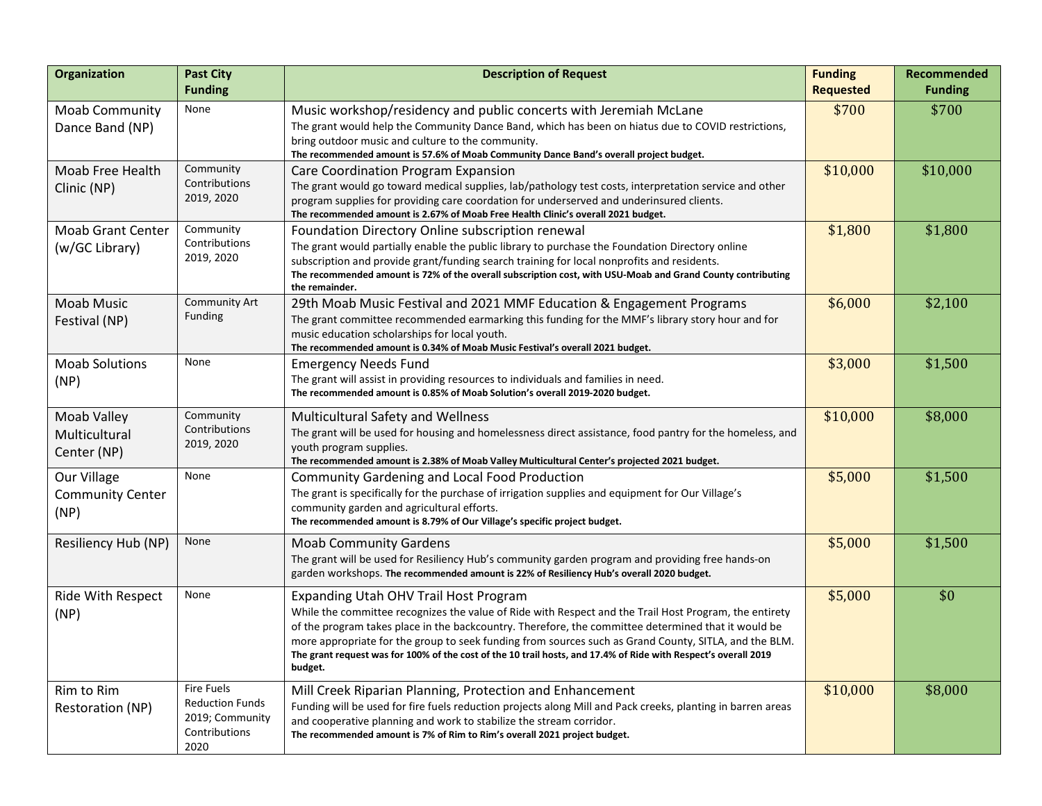| <b>Organization</b>                            | <b>Past City</b><br><b>Funding</b>                                                      | <b>Description of Request</b>                                                                                                                                                                                                                                                                                                                                                                                                                                                                 | <b>Funding</b><br><b>Requested</b> | <b>Recommended</b><br><b>Funding</b> |
|------------------------------------------------|-----------------------------------------------------------------------------------------|-----------------------------------------------------------------------------------------------------------------------------------------------------------------------------------------------------------------------------------------------------------------------------------------------------------------------------------------------------------------------------------------------------------------------------------------------------------------------------------------------|------------------------------------|--------------------------------------|
| Moab Community<br>Dance Band (NP)              | None                                                                                    | Music workshop/residency and public concerts with Jeremiah McLane<br>The grant would help the Community Dance Band, which has been on hiatus due to COVID restrictions,<br>bring outdoor music and culture to the community.<br>The recommended amount is 57.6% of Moab Community Dance Band's overall project budget.                                                                                                                                                                        | \$700                              | \$700                                |
| Moab Free Health<br>Clinic (NP)                | Community<br>Contributions<br>2019, 2020                                                | Care Coordination Program Expansion<br>The grant would go toward medical supplies, lab/pathology test costs, interpretation service and other<br>program supplies for providing care coordation for underserved and underinsured clients.<br>The recommended amount is 2.67% of Moab Free Health Clinic's overall 2021 budget.                                                                                                                                                                | \$10,000                           | \$10,000                             |
| <b>Moab Grant Center</b><br>(w/GC Library)     | Community<br>Contributions<br>2019, 2020                                                | Foundation Directory Online subscription renewal<br>The grant would partially enable the public library to purchase the Foundation Directory online<br>subscription and provide grant/funding search training for local nonprofits and residents.<br>The recommended amount is 72% of the overall subscription cost, with USU-Moab and Grand County contributing<br>the remainder.                                                                                                            | \$1,800                            | \$1,800                              |
| <b>Moab Music</b><br>Festival (NP)             | Community Art<br><b>Funding</b>                                                         | 29th Moab Music Festival and 2021 MMF Education & Engagement Programs<br>The grant committee recommended earmarking this funding for the MMF's library story hour and for<br>music education scholarships for local youth.<br>The recommended amount is 0.34% of Moab Music Festival's overall 2021 budget.                                                                                                                                                                                   | \$6,000                            | \$2,100                              |
| <b>Moab Solutions</b><br>(NP)                  | None                                                                                    | <b>Emergency Needs Fund</b><br>The grant will assist in providing resources to individuals and families in need.<br>The recommended amount is 0.85% of Moab Solution's overall 2019-2020 budget.                                                                                                                                                                                                                                                                                              | \$3,000                            | \$1,500                              |
| Moab Valley<br>Multicultural<br>Center (NP)    | Community<br>Contributions<br>2019, 2020                                                | <b>Multicultural Safety and Wellness</b><br>The grant will be used for housing and homelessness direct assistance, food pantry for the homeless, and<br>youth program supplies.<br>The recommended amount is 2.38% of Moab Valley Multicultural Center's projected 2021 budget.                                                                                                                                                                                                               | \$10,000                           | \$8,000                              |
| Our Village<br><b>Community Center</b><br>(NP) | None                                                                                    | <b>Community Gardening and Local Food Production</b><br>The grant is specifically for the purchase of irrigation supplies and equipment for Our Village's<br>community garden and agricultural efforts.<br>The recommended amount is 8.79% of Our Village's specific project budget.                                                                                                                                                                                                          | \$5,000                            | \$1,500                              |
| Resiliency Hub (NP)                            | None                                                                                    | <b>Moab Community Gardens</b><br>The grant will be used for Resiliency Hub's community garden program and providing free hands-on<br>garden workshops. The recommended amount is 22% of Resiliency Hub's overall 2020 budget.                                                                                                                                                                                                                                                                 | \$5,000                            | \$1,500                              |
| Ride With Respect<br>(NP)                      | None                                                                                    | Expanding Utah OHV Trail Host Program<br>While the committee recognizes the value of Ride with Respect and the Trail Host Program, the entirety<br>of the program takes place in the backcountry. Therefore, the committee determined that it would be<br>more appropriate for the group to seek funding from sources such as Grand County, SITLA, and the BLM.<br>The grant request was for 100% of the cost of the 10 trail hosts, and 17.4% of Ride with Respect's overall 2019<br>budget. | \$5,000                            | \$0                                  |
| Rim to Rim<br>Restoration (NP)                 | <b>Fire Fuels</b><br><b>Reduction Funds</b><br>2019; Community<br>Contributions<br>2020 | Mill Creek Riparian Planning, Protection and Enhancement<br>Funding will be used for fire fuels reduction projects along Mill and Pack creeks, planting in barren areas<br>and cooperative planning and work to stabilize the stream corridor.<br>The recommended amount is 7% of Rim to Rim's overall 2021 project budget.                                                                                                                                                                   | \$10,000                           | \$8,000                              |